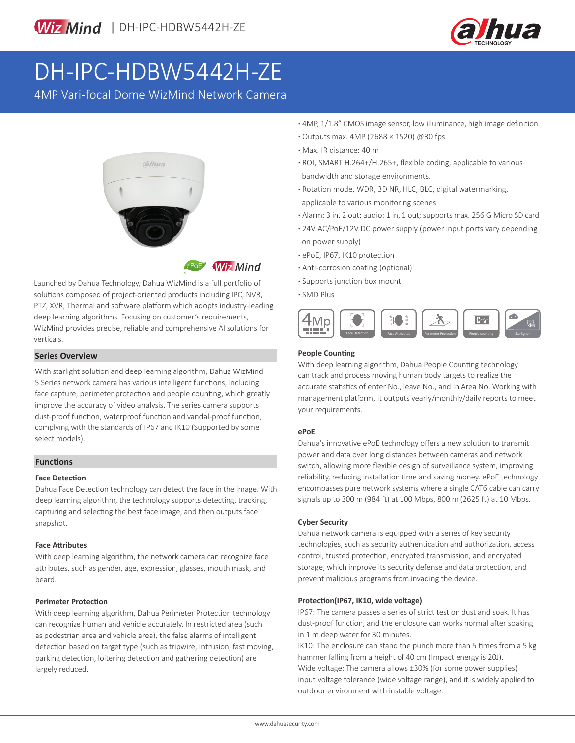

# DH-IPC-HDBW5442H-ZE

4MP Vari-focal Dome WizMind Network Camera



**ePoE** Wiz Mind

Launched by Dahua Technology, Dahua WizMind is a full portfolio of solutions composed of project-oriented products including IPC, NVR, PTZ, XVR, Thermal and software platform which adopts industry-leading deep learning algorithms. Focusing on customer's requirements, WizMind provides precise, reliable and comprehensive AI solutions for verticals. Perimeter Protection Face Detection Face Detection Face Detection Perimeter Protection People counting Starlight+

#### **Series Overview**

With starlight solution and deep learning algorithm, Dahua WizMind 5 Series network camera has various intelligent functions, including face capture, perimeter protection and people counting, which greatly improve the accuracy of video analysis. The series camera supports dust-proof function, waterproof function and vandal-proof function, complying with the standards of IP67 and IK10 (Supported by some select models).

### **Functions**

#### **Face Detection**

Dahua Face Detection technology can detect the face in the image. With deep learning algorithm, the technology supports detecting, tracking, capturing and selecting the best face image, and then outputs face snapshot.

#### **Face Attributes**

With deep learning algorithm, the network camera can recognize face attributes, such as gender, age, expression, glasses, mouth mask, and beard.

#### **Perimeter Protection**

With deep learning algorithm, Dahua Perimeter Protection technology can recognize human and vehicle accurately. In restricted area (such as pedestrian area and vehicle area), the false alarms of intelligent detection based on target type (such as tripwire, intrusion, fast moving, parking detection, loitering detection and gathering detection) are largely reduced.

- **·** 4MP, 1/1.8" CMOS image sensor, low illuminance, high image definition
- **·** Outputs max. 4MP (2688 × 1520) @30 fps
- **·** Max. IR distance: 40 m
- **·** ROI, SMART H.264+/H.265+, flexible coding, applicable to various bandwidth and storage environments.
- **·** Rotation mode, WDR, 3D NR, HLC, BLC, digital watermarking, applicable to various monitoring scenes
- **·** Alarm: 3 in, 2 out; audio: 1 in, 1 out; supports max. 256 G Micro SD card
- **·** 24V AC/PoE/12V DC power supply (power input ports vary depending on power supply)
- **·** ePoE, IP67, IK10 protection
- **·** Anti-corrosion coating (optional)
- **·** Supports junction box mount
- **·** SMD Plus



#### **People Counting**

With deep learning algorithm, Dahua People Counting technology can track and process moving human body targets to realize the accurate statistics of enter No., leave No., and In Area No. Working with management platform, it outputs yearly/monthly/daily reports to meet your requirements.

#### **ePoE**

Dahua's innovative ePoE technology offers a new solution to transmit power and data over long distances between cameras and network switch, allowing more flexible design of surveillance system, improving reliability, reducing installation time and saving money. ePoE technology encompasses pure network systems where a single CAT6 cable can carry signals up to 300 m (984 ft) at 100 Mbps, 800 m (2625 ft) at 10 Mbps.

#### **Cyber Security**

Dahua network camera is equipped with a series of key security technologies, such as security authentication and authorization, access control, trusted protection, encrypted transmission, and encrypted storage, which improve its security defense and data protection, and prevent malicious programs from invading the device.

#### **Protection(IP67, IK10, wide voltage)**

IP67: The camera passes a series of strict test on dust and soak. It has dust-proof function, and the enclosure can works normal after soaking in 1 m deep water for 30 minutes.

IK10: The enclosure can stand the punch more than 5 times from a 5 kg hammer falling from a height of 40 cm (Impact energy is 20J). Wide voltage: The camera allows ±30% (for some power supplies) input voltage tolerance (wide voltage range), and it is widely applied to outdoor environment with instable voltage.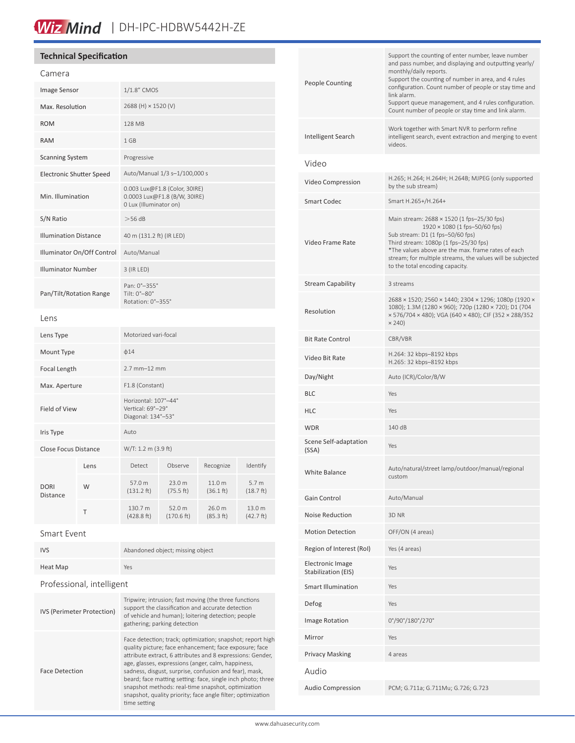# Wiz Mind | DH-IPC-HDBW5442H-ZE

| <b>Technical Specification</b>                 |      |                                                                                                                                                                                                                                                                                                    |                               |                                |                                                                                  |                           | Support the counting of enter number, leave number                                                                                                                                                                                                                                  |                                                                                                                                                                                        |
|------------------------------------------------|------|----------------------------------------------------------------------------------------------------------------------------------------------------------------------------------------------------------------------------------------------------------------------------------------------------|-------------------------------|--------------------------------|----------------------------------------------------------------------------------|---------------------------|-------------------------------------------------------------------------------------------------------------------------------------------------------------------------------------------------------------------------------------------------------------------------------------|----------------------------------------------------------------------------------------------------------------------------------------------------------------------------------------|
| Camera                                         |      |                                                                                                                                                                                                                                                                                                    |                               |                                | and pass number, and displaying and outputting yearly/<br>monthly/daily reports. |                           |                                                                                                                                                                                                                                                                                     |                                                                                                                                                                                        |
| Image Sensor                                   |      | $1/1.8$ " CMOS                                                                                                                                                                                                                                                                                     |                               |                                |                                                                                  |                           | People Counting                                                                                                                                                                                                                                                                     | Support the counting of number in area, and 4 rules<br>configuration. Count number of people or stay time and<br>link alarm.                                                           |
| Max. Resolution                                |      | 2688 (H) $\times$ 1520 (V)                                                                                                                                                                                                                                                                         |                               |                                |                                                                                  |                           | Support queue management, and 4 rules configuration.<br>Count number of people or stay time and link alarm.                                                                                                                                                                         |                                                                                                                                                                                        |
| <b>ROM</b>                                     |      | 128 MB                                                                                                                                                                                                                                                                                             |                               |                                |                                                                                  |                           | Work together with Smart NVR to perform refine                                                                                                                                                                                                                                      |                                                                                                                                                                                        |
| <b>RAM</b>                                     |      | 1 GB                                                                                                                                                                                                                                                                                               |                               |                                |                                                                                  |                           | Intelligent Search                                                                                                                                                                                                                                                                  | intelligent search, event extraction and merging to event<br>videos.                                                                                                                   |
| <b>Scanning System</b>                         |      | Progressive                                                                                                                                                                                                                                                                                        |                               |                                |                                                                                  |                           | Video                                                                                                                                                                                                                                                                               |                                                                                                                                                                                        |
| <b>Electronic Shutter Speed</b>                |      |                                                                                                                                                                                                                                                                                                    | Auto/Manual 1/3 s-1/100,000 s |                                |                                                                                  |                           |                                                                                                                                                                                                                                                                                     | H.265; H.264; H.264H; H.264B; MJPEG (only supported                                                                                                                                    |
| Min. Illumination                              |      | 0.003 Lux@F1.8 (Color, 30IRE)<br>0.0003 Lux@F1.8 (B/W, 30IRE)<br>0 Lux (Illuminator on)                                                                                                                                                                                                            |                               |                                |                                                                                  |                           | Video Compression<br><b>Smart Codec</b>                                                                                                                                                                                                                                             | by the sub stream)<br>Smart H.265+/H.264+                                                                                                                                              |
| S/N Ratio                                      |      | $>$ 56 dB                                                                                                                                                                                                                                                                                          |                               |                                |                                                                                  |                           | Main stream: 2688 × 1520 (1 fps-25/30 fps)<br>$1920 \times 1080$ (1 fps-50/60 fps)<br>Sub stream: D1 (1 fps-50/60 fps)<br>Third stream: 1080p (1 fps-25/30 fps)<br>*The values above are the max. frame rates of each<br>stream; for multiple streams, the values will be subjected |                                                                                                                                                                                        |
| <b>Illumination Distance</b>                   |      | 40 m (131.2 ft) (IR LED)                                                                                                                                                                                                                                                                           |                               |                                |                                                                                  |                           |                                                                                                                                                                                                                                                                                     | Video Frame Rate                                                                                                                                                                       |
| Illuminator On/Off Control                     |      | Auto/Manual                                                                                                                                                                                                                                                                                        |                               |                                |                                                                                  |                           |                                                                                                                                                                                                                                                                                     |                                                                                                                                                                                        |
| Illuminator Number                             |      | $3$ (IR LED)                                                                                                                                                                                                                                                                                       |                               |                                |                                                                                  |                           |                                                                                                                                                                                                                                                                                     | to the total encoding capacity.                                                                                                                                                        |
| Pan/Tilt/Rotation Range                        |      | Pan: 0°-355°<br>Tilt: 0°-80°                                                                                                                                                                                                                                                                       |                               |                                |                                                                                  |                           | <b>Stream Capability</b>                                                                                                                                                                                                                                                            | 3 streams                                                                                                                                                                              |
| Lens                                           |      | Rotation: 0°-355°                                                                                                                                                                                                                                                                                  |                               |                                |                                                                                  |                           | Resolution                                                                                                                                                                                                                                                                          | 2688 × 1520; 2560 × 1440; 2304 × 1296; 1080p (1920 ×<br>1080); 1.3M (1280 × 960); 720p (1280 × 720); D1 (704<br>× 576/704 × 480); VGA (640 × 480); CIF (352 × 288/352<br>$\times$ 240) |
| Lens Type                                      |      | Motorized vari-focal                                                                                                                                                                                                                                                                               |                               |                                |                                                                                  |                           | <b>Bit Rate Control</b>                                                                                                                                                                                                                                                             | CBR/VBR                                                                                                                                                                                |
| Mount Type                                     |      | $\phi$ 14                                                                                                                                                                                                                                                                                          |                               |                                |                                                                                  |                           | Video Bit Rate                                                                                                                                                                                                                                                                      | H.264: 32 kbps-8192 kbps                                                                                                                                                               |
| Focal Length                                   |      | $2.7$ mm $-12$ mm                                                                                                                                                                                                                                                                                  |                               |                                |                                                                                  |                           | Day/Night                                                                                                                                                                                                                                                                           | H.265: 32 kbps-8192 kbps<br>Auto (ICR)/Color/B/W                                                                                                                                       |
| Max. Aperture                                  |      | F1.8 (Constant)                                                                                                                                                                                                                                                                                    |                               |                                |                                                                                  |                           | <b>BLC</b>                                                                                                                                                                                                                                                                          | Yes                                                                                                                                                                                    |
| Field of View                                  |      | Horizontal: 107°-44°<br>Vertical: 69°-29°<br>Diagonal: 134°-53°                                                                                                                                                                                                                                    |                               |                                |                                                                                  |                           | <b>HLC</b>                                                                                                                                                                                                                                                                          | Yes                                                                                                                                                                                    |
| Iris Type                                      |      | Auto                                                                                                                                                                                                                                                                                               |                               |                                |                                                                                  |                           | <b>WDR</b>                                                                                                                                                                                                                                                                          | 140 dB                                                                                                                                                                                 |
| Close Focus Distance                           |      | W/T: 1.2 m (3.9 ft)                                                                                                                                                                                                                                                                                |                               |                                |                                                                                  |                           | Scene Self-adaptation<br>(SSA)                                                                                                                                                                                                                                                      | Yes                                                                                                                                                                                    |
|                                                | Lens | Detect<br>57.0 m                                                                                                                                                                                                                                                                                   | Observe<br>23.0 m             | Recognize<br>11.0 <sub>m</sub> | Identify<br>5.7 <sub>m</sub>                                                     |                           | White Balance                                                                                                                                                                                                                                                                       | Auto/natural/street lamp/outdoor/manual/regional<br>custom                                                                                                                             |
| <b>DORI</b><br>Distance                        | W    | (131.2 ft)                                                                                                                                                                                                                                                                                         | (75.5 ft)                     | (36.1 ft)                      | (18.7 ft)                                                                        |                           | Gain Control                                                                                                                                                                                                                                                                        | Auto/Manual                                                                                                                                                                            |
|                                                | Τ    | 130.7 m<br>(428.8 ft)                                                                                                                                                                                                                                                                              | 52.0 m<br>(170.6 ft)          | 26.0 m<br>(85.3 ft)            | 13.0 m<br>(42.7 ft)                                                              |                           | Noise Reduction                                                                                                                                                                                                                                                                     | 3D NR                                                                                                                                                                                  |
| Smart Event                                    |      |                                                                                                                                                                                                                                                                                                    |                               |                                |                                                                                  |                           | <b>Motion Detection</b>                                                                                                                                                                                                                                                             | OFF/ON (4 areas)                                                                                                                                                                       |
| Abandoned object; missing object<br><b>IVS</b> |      |                                                                                                                                                                                                                                                                                                    |                               |                                |                                                                                  | Region of Interest (RoI)  | Yes (4 areas)                                                                                                                                                                                                                                                                       |                                                                                                                                                                                        |
| Heat Map                                       |      | Yes                                                                                                                                                                                                                                                                                                |                               |                                |                                                                                  |                           | Electronic Image<br>Stabilization (EIS)                                                                                                                                                                                                                                             | Yes                                                                                                                                                                                    |
| Professional, intelligent                      |      |                                                                                                                                                                                                                                                                                                    |                               |                                |                                                                                  | <b>Smart Illumination</b> | Yes                                                                                                                                                                                                                                                                                 |                                                                                                                                                                                        |
| <b>IVS (Perimeter Protection)</b>              |      | Tripwire; intrusion; fast moving (the three functions<br>support the classification and accurate detection<br>of vehicle and human); loitering detection; people<br>gathering; parking detection                                                                                                   |                               |                                |                                                                                  |                           | Defog                                                                                                                                                                                                                                                                               | Yes                                                                                                                                                                                    |
|                                                |      |                                                                                                                                                                                                                                                                                                    |                               |                                |                                                                                  |                           | Image Rotation                                                                                                                                                                                                                                                                      | 0°/90°/180°/270°                                                                                                                                                                       |
|                                                |      | Face detection; track; optimization; snapshot; report high<br>quality picture; face enhancement; face exposure; face<br>attribute extract, 6 attributes and 8 expressions: Gender,<br>age, glasses, expressions (anger, calm, happiness,<br>sadness, disgust, surprise, confusion and fear), mask, |                               |                                |                                                                                  |                           | Mirror                                                                                                                                                                                                                                                                              | Yes                                                                                                                                                                                    |
|                                                |      |                                                                                                                                                                                                                                                                                                    |                               |                                |                                                                                  |                           | <b>Privacy Masking</b>                                                                                                                                                                                                                                                              | 4 areas                                                                                                                                                                                |
| <b>Face Detection</b>                          |      |                                                                                                                                                                                                                                                                                                    |                               |                                |                                                                                  |                           | Audio                                                                                                                                                                                                                                                                               |                                                                                                                                                                                        |

Audio Compression PCM; G.711a; G.711Mu; G.726; G.723

beard; face matting setting: face, single inch photo; three snapshot methods: real-time snapshot, optimization snapshot, quality priority; face angle filter; optimization

time setting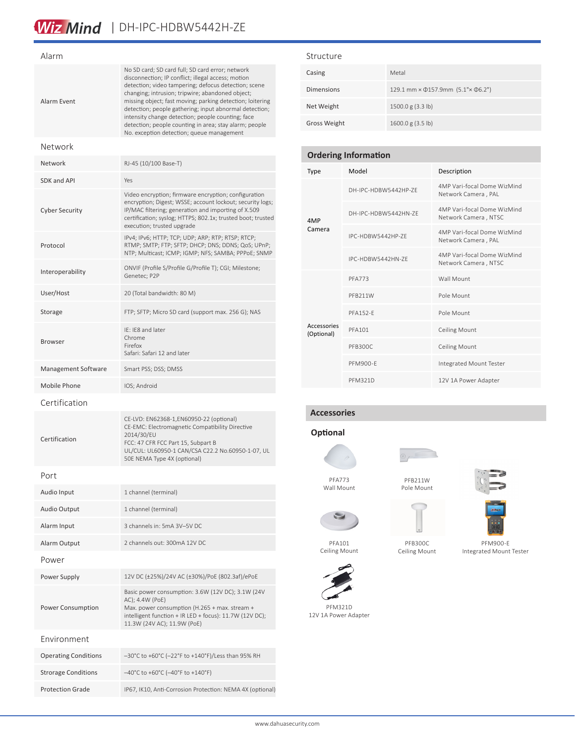#### Alarm

| Alarm Event        | No SD card; SD card full; SD card error; network<br>disconnection; IP conflict; illegal access; motion<br>detection; video tampering; defocus detection; scene<br>changing; intrusion; tripwire; abandoned object;<br>missing object; fast moving; parking detection; loitering<br>detection; people gathering; input abnormal detection;<br>intensity change detection; people counting; face<br>detection; people counting in area; stay alarm; people<br>No. exception detection; queue management |
|--------------------|-------------------------------------------------------------------------------------------------------------------------------------------------------------------------------------------------------------------------------------------------------------------------------------------------------------------------------------------------------------------------------------------------------------------------------------------------------------------------------------------------------|
| Network            |                                                                                                                                                                                                                                                                                                                                                                                                                                                                                                       |
| Network            | RJ-45 (10/100 Base-T)                                                                                                                                                                                                                                                                                                                                                                                                                                                                                 |
| <b>SDK and API</b> | Yes                                                                                                                                                                                                                                                                                                                                                                                                                                                                                                   |

| SDK and API           | Yes                                                                                                                                                                                                                                                                   |
|-----------------------|-----------------------------------------------------------------------------------------------------------------------------------------------------------------------------------------------------------------------------------------------------------------------|
| <b>Cyber Security</b> | Video encryption; firmware encryption; configuration<br>encryption; Digest; WSSE; account lockout; security logs;<br>IP/MAC filtering; generation and importing of X.509<br>certification; syslog; HTTPS; 802.1x; trusted boot; trusted<br>execution; trusted upgrade |
| Protocol              | IPv4; IPv6; HTTP; TCP; UDP; ARP; RTP; RTSP; RTCP;<br>RTMP; SMTP; FTP; SFTP; DHCP; DNS; DDNS; QoS; UPnP;<br>NTP; Multicast; ICMP; IGMP; NFS; SAMBA; PPPoE; SNMP                                                                                                        |
| Interoperability      | ONVIF (Profile S/Profile G/Profile T); CGI; Milestone;<br>Genetec; P2P                                                                                                                                                                                                |
| User/Host             | 20 (Total bandwidth: 80 M)                                                                                                                                                                                                                                            |
| Storage               | FTP; SFTP; Micro SD card (support max. 256 G); NAS                                                                                                                                                                                                                    |

#### Structure

| Casing            | Metal                             |
|-------------------|-----------------------------------|
| <b>Dimensions</b> | 129.1 mm × 0157.9mm (5.1"× 06.2") |
| Net Weight        | 1500.0 g (3.3 lb)                 |
| Gross Weight      | 1600.0 g $(3.5 \text{ lb})$       |

| <b>Ordering Information</b> |                      |                                                     |  |  |
|-----------------------------|----------------------|-----------------------------------------------------|--|--|
| Type                        | Model                | Description                                         |  |  |
|                             | DH-IPC-HDRW5442HP-7F | 4MP Vari-focal Dome WizMind<br>Network Camera, PAL  |  |  |
| 4MP                         | DH-IPC-HDBW5442HN-ZF | 4MP Vari-focal Dome WizMind<br>Network Camera, NTSC |  |  |
| Camera                      | IPC-HDBW5442HP-7F    | 4MP Vari-focal Dome WizMind<br>Network Camera, PAL  |  |  |
|                             | IPC-HDBW5442HN-7F    | 4MP Vari-focal Dome WizMind<br>Network Camera, NTSC |  |  |
|                             | <b>PFA773</b>        | Wall Mount                                          |  |  |
|                             | PFR211W              | Pole Mount                                          |  |  |
|                             | <b>PFA152-F</b>      | Pole Mount                                          |  |  |
| Accessories<br>(Optional)   | <b>PFA101</b>        | <b>Ceiling Mount</b>                                |  |  |
|                             | PFB300C              | <b>Ceiling Mount</b>                                |  |  |
|                             | PFM900-F             | Integrated Mount Tester                             |  |  |
|                             | <b>PFM321D</b>       | 12V 1A Power Adapter                                |  |  |

### **Accessories**

## **Optional**



PFA773 Wall Mount



PFB211W Pole Mount

Ceiling Mount



Ceiling Mount



PFA101

PFM321D 12V 1A Power Adapter





PFM900-E Integrated Mount Tester

| <b>Browser</b>      | Chrome<br>Firefox<br>Safari: Safari 12 and later                                                                                                                                                                                    |
|---------------------|-------------------------------------------------------------------------------------------------------------------------------------------------------------------------------------------------------------------------------------|
| Management Software | Smart PSS; DSS; DMSS                                                                                                                                                                                                                |
| Mobile Phone        | IOS; Android                                                                                                                                                                                                                        |
| Certification       |                                                                                                                                                                                                                                     |
| Certification       | CE-LVD: EN62368-1, EN60950-22 (optional)<br>CE-EMC: Electromagnetic Compatibility Directive<br>2014/30/EU<br>FCC: 47 CFR FCC Part 15, Subpart B<br>UL/CUL: UL60950-1 CAN/CSA C22.2 No.60950-1-07, UL<br>50E NEMA Type 4X (optional) |
| Port                |                                                                                                                                                                                                                                     |
| Audio Input         | 1 channel (terminal)                                                                                                                                                                                                                |
| Audio Output        | 1 channel (terminal)                                                                                                                                                                                                                |
| Alarm Input         | 3 channels in: 5mA 3V-5V DC                                                                                                                                                                                                         |
| Alarm Output        | 2 channels out: 300mA 12V DC                                                                                                                                                                                                        |
| Power               |                                                                                                                                                                                                                                     |
| Power Supply        | 12V DC (±25%)/24V AC (±30%)/PoE (802.3af)/ePoE                                                                                                                                                                                      |
|                     | Basic power consumption: 3.6W (12V DC); 3.1W (24V<br>AC); 4.4W (PoE)                                                                                                                                                                |

Max. power consumption (H.265 + max. stream + intelligent function + IR LED + focus): 11.7W (12V DC);

11.3W (24V AC); 11.9W (PoE)

Operating Conditions –30°C to +60°C (–22°F to +140°F)/Less than 95% RH

Protection Grade IP67, IK10, Anti-Corrosion Protection: NEMA 4X (optional)

Strorage Conditions –40°C to +60°C (–40°F to +140°F)

Power Consumption

Environment

IE: IE8 and later